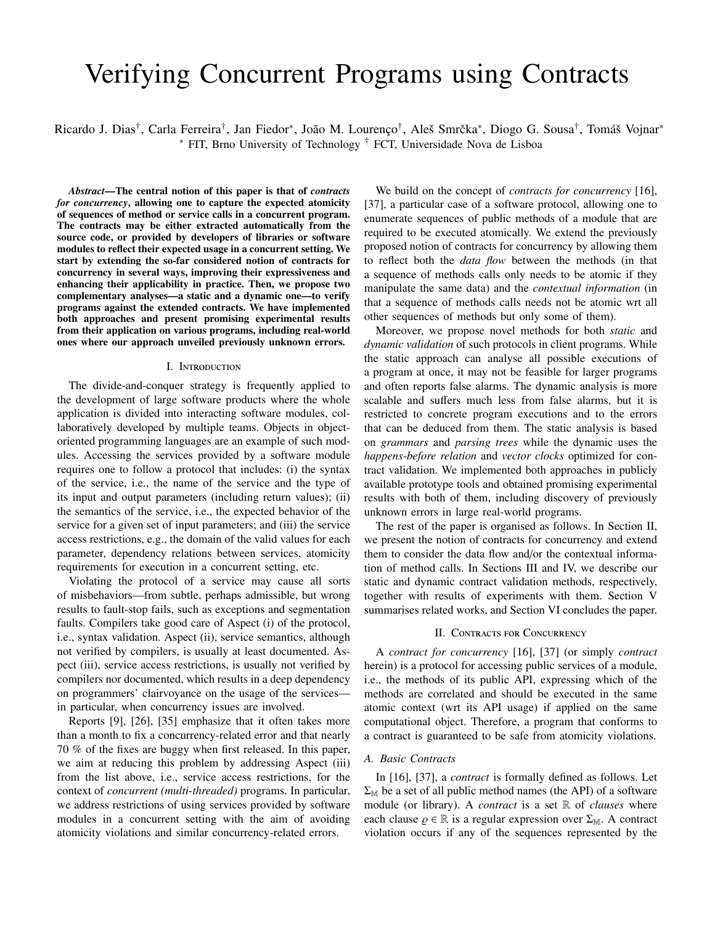# Verifying Concurrent Programs using Contracts

Ricardo J. Dias<sup>†</sup>, Carla Ferreira<sup>†</sup>, Jan Fiedor\*, João M. Lourenço<sup>†</sup>, Aleš Smrčka\*, Diogo G. Sousa<sup>†</sup>, Tomáš Vojnar\* <sup>∗</sup> FIT, Brno University of Technology † FCT, Universidade Nova de Lisboa

*Abstract*—The central notion of this paper is that of *contracts for concurrency*, allowing one to capture the expected atomicity of sequences of method or service calls in a concurrent program. The contracts may be either extracted automatically from the source code, or provided by developers of libraries or software modules to reflect their expected usage in a concurrent setting. We start by extending the so-far considered notion of contracts for concurrency in several ways, improving their expressiveness and enhancing their applicability in practice. Then, we propose two complementary analyses—a static and a dynamic one—to verify programs against the extended contracts. We have implemented both approaches and present promising experimental results from their application on various programs, including real-world ones where our approach unveiled previously unknown errors.

#### I. Introduction

The divide-and-conquer strategy is frequently applied to the development of large software products where the whole application is divided into interacting software modules, collaboratively developed by multiple teams. Objects in objectoriented programming languages are an example of such modules. Accessing the services provided by a software module requires one to follow a protocol that includes: (i) the syntax of the service, i.e., the name of the service and the type of its input and output parameters (including return values); (ii) the semantics of the service, i.e., the expected behavior of the service for a given set of input parameters; and (iii) the service access restrictions, e.g., the domain of the valid values for each parameter, dependency relations between services, atomicity requirements for execution in a concurrent setting, etc.

Violating the protocol of a service may cause all sorts of misbehaviors—from subtle, perhaps admissible, but wrong results to fault-stop fails, such as exceptions and segmentation faults. Compilers take good care of Aspect (i) of the protocol, i.e., syntax validation. Aspect (ii), service semantics, although not verified by compilers, is usually at least documented. Aspect (iii), service access restrictions, is usually not verified by compilers nor documented, which results in a deep dependency on programmers' clairvoyance on the usage of the services in particular, when concurrency issues are involved.

Reports [9], [26], [35] emphasize that it often takes more than a month to fix a concurrency-related error and that nearly 70 % of the fixes are buggy when first released. In this paper, we aim at reducing this problem by addressing Aspect (iii) from the list above, i.e., service access restrictions, for the context of *concurrent (multi-threaded)* programs. In particular, we address restrictions of using services provided by software modules in a concurrent setting with the aim of avoiding atomicity violations and similar concurrency-related errors.

We build on the concept of *contracts for concurrency* [16], [37], a particular case of a software protocol, allowing one to enumerate sequences of public methods of a module that are required to be executed atomically. We extend the previously proposed notion of contracts for concurrency by allowing them to reflect both the *data flow* between the methods (in that a sequence of methods calls only needs to be atomic if they manipulate the same data) and the *contextual information* (in that a sequence of methods calls needs not be atomic wrt all other sequences of methods but only some of them).

Moreover, we propose novel methods for both *static* and *dynamic validation* of such protocols in client programs. While the static approach can analyse all possible executions of a program at once, it may not be feasible for larger programs and often reports false alarms. The dynamic analysis is more scalable and suffers much less from false alarms, but it is restricted to concrete program executions and to the errors that can be deduced from them. The static analysis is based on *grammars* and *parsing trees* while the dynamic uses the *happens-before relation* and *vector clocks* optimized for contract validation. We implemented both approaches in publicly available prototype tools and obtained promising experimental results with both of them, including discovery of previously unknown errors in large real-world programs.

The rest of the paper is organised as follows. In Section II, we present the notion of contracts for concurrency and extend them to consider the data flow and/or the contextual information of method calls. In Sections III and IV, we describe our static and dynamic contract validation methods, respectively, together with results of experiments with them. Section V summarises related works, and Section VI concludes the paper.

#### II. CONTRACTS FOR CONCURRENCY

A *contract for concurrency* [16], [37] (or simply *contract* herein) is a protocol for accessing public services of a module, i.e., the methods of its public API, expressing which of the methods are correlated and should be executed in the same atomic context (wrt its API usage) if applied on the same computational object. Therefore, a program that conforms to a contract is guaranteed to be safe from atomicity violations.

# *A. Basic Contracts*

In [16], [37], a *contract* is formally defined as follows. Let  $\Sigma_M$  be a set of all public method names (the API) of a software module (or library). A *contract* is a set R of *clauses* where each clause  $\rho \in \mathbb{R}$  is a regular expression over  $\Sigma_M$ . A contract violation occurs if any of the sequences represented by the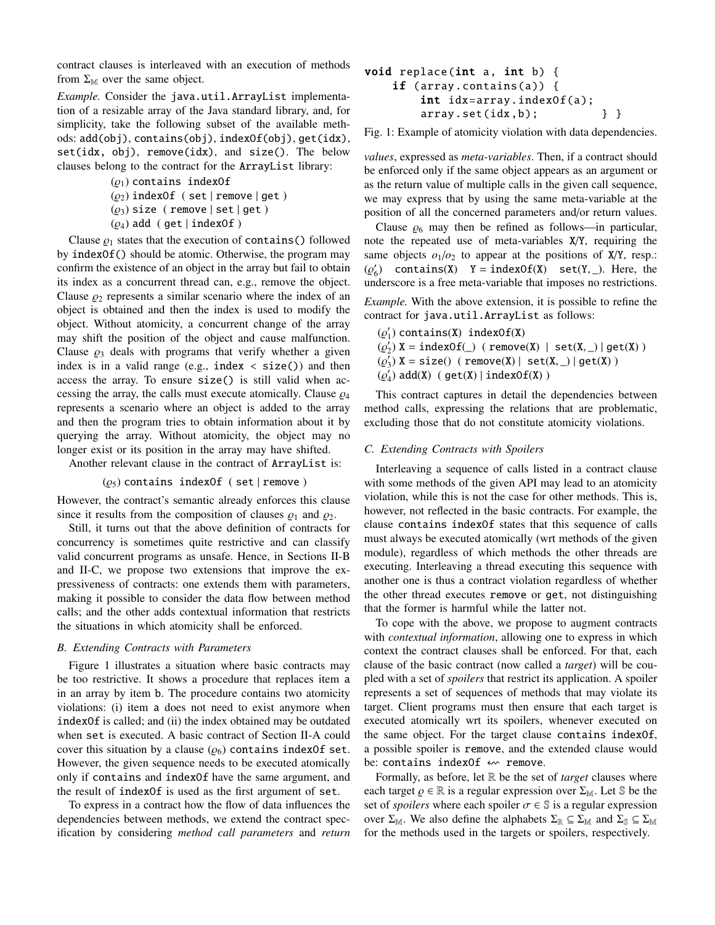contract clauses is interleaved with an execution of methods from  $\Sigma_M$  over the same object.

*Example.* Consider the java.util.ArrayList implementation of a resizable array of the Java standard library, and, for simplicity, take the following subset of the available methods: add(obj), contains(obj), indexOf(obj), get(idx), set(idx, obj), remove(idx), and size(). The below clauses belong to the contract for the ArrayList library:

- $(\rho_1)$  contains indexOf
- $(\rho_2)$  indexOf (set | remove | get)
- $(\varrho_3)$  size (remove | set | get)
- $(\varrho_4)$  add (get | indexOf)

Clause  $\varrho_1$  states that the execution of contains() followed by indexOf() should be atomic. Otherwise, the program may confirm the existence of an object in the array but fail to obtain its index as a concurrent thread can, e.g., remove the object. Clause  $\varrho_2$  represents a similar scenario where the index of an object is obtained and then the index is used to modify the object. Without atomicity, a concurrent change of the array may shift the position of the object and cause malfunction. Clause  $\varrho_3$  deals with programs that verify whether a given index is in a valid range (e.g., index  $\langle$  size()) and then access the array. To ensure size() is still valid when accessing the array, the calls must execute atomically. Clause  $\rho_4$ represents a scenario where an object is added to the array and then the program tries to obtain information about it by querying the array. Without atomicity, the object may no longer exist or its position in the array may have shifted.

Another relevant clause in the contract of ArrayList is:

# $(\rho_5)$  contains indexOf (set | remove)

However, the contract's semantic already enforces this clause since it results from the composition of clauses  $\varrho_1$  and  $\varrho_2$ .

Still, it turns out that the above definition of contracts for concurrency is sometimes quite restrictive and can classify valid concurrent programs as unsafe. Hence, in Sections II-B and II-C, we propose two extensions that improve the expressiveness of contracts: one extends them with parameters, making it possible to consider the data flow between method calls; and the other adds contextual information that restricts the situations in which atomicity shall be enforced.

# *B. Extending Contracts with Parameters*

Figure 1 illustrates a situation where basic contracts may be too restrictive. It shows a procedure that replaces item a in an array by item b. The procedure contains two atomicity violations: (i) item a does not need to exist anymore when indexOf is called; and (ii) the index obtained may be outdated when set is executed. A basic contract of Section II-A could cover this situation by a clause  $(\varrho_6)$  contains indexOf set. However, the given sequence needs to be executed atomically only if contains and indexOf have the same argument, and the result of indexOf is used as the first argument of set.

To express in a contract how the flow of data influences the dependencies between methods, we extend the contract specification by considering *method call parameters* and *return*

# void replace(int a, int b) { if (array.contains(a)) { int idx=array.indexOf(a);  $array.set(idx, b);$  } }

Fig. 1: Example of atomicity violation with data dependencies.

*values*, expressed as *meta-variables*. Then, if a contract should be enforced only if the same object appears as an argument or as the return value of multiple calls in the given call sequence, we may express that by using the same meta-variable at the position of all the concerned parameters and/or return values.

Clause  $\rho_6$  may then be refined as follows—in particular, note the repeated use of meta-variables X/Y, requiring the same objects  $o_1/o_2$  to appear at the positions of  $X/Y$ , resp.:  $(\varrho_6')$  contains(X) Y = indexOf(X) set(Y, \_). Here, the underscore is a free meta-variable that imposes no restrictions.

*Example.* With the above extension, it is possible to refine the contract for java.util.ArrayList as follows:

 $(\varrho'_1)$  contains(X) indexOf(X)<br> $(\varrho')$  X = indexOf() (remove  $(\rho_2^j)$  X = indexOf(\_) (remove(X) | set(X, \_) | get(X))<br>(c') X = size() (remove(X) | set(X) | get(X))  $(\overline{\rho}_3^7)$  X = size() (remove(X) | set(X, \_) | get(X))<br> $(\overline{\rho}_1^{\prime})$  add(X) (get(X) | index(H(X)))  $(\varrho_4')$  add(X) ( get(X) | indexOf(X) )

This contract captures in detail the dependencies between method calls, expressing the relations that are problematic, excluding those that do not constitute atomicity violations.

#### *C. Extending Contracts with Spoilers*

Interleaving a sequence of calls listed in a contract clause with some methods of the given API may lead to an atomicity violation, while this is not the case for other methods. This is, however, not reflected in the basic contracts. For example, the clause contains indexOf states that this sequence of calls must always be executed atomically (wrt methods of the given module), regardless of which methods the other threads are executing. Interleaving a thread executing this sequence with another one is thus a contract violation regardless of whether the other thread executes remove or get, not distinguishing that the former is harmful while the latter not.

To cope with the above, we propose to augment contracts with *contextual information*, allowing one to express in which context the contract clauses shall be enforced. For that, each clause of the basic contract (now called a *target*) will be coupled with a set of *spoilers* that restrict its application. A spoiler represents a set of sequences of methods that may violate its target. Client programs must then ensure that each target is executed atomically wrt its spoilers, whenever executed on the same object. For the target clause contains indexOf, a possible spoiler is remove, and the extended clause would be: contains indexOf  $\leftarrow$  remove.

Formally, as before, let R be the set of *target* clauses where each target  $\rho \in \mathbb{R}$  is a regular expression over  $\Sigma_M$ . Let  $\mathbb S$  be the set of *spoilers* where each spoiler  $\sigma \in \mathbb{S}$  is a regular expression over  $\Sigma_M$ . We also define the alphabets  $\Sigma_R \subseteq \Sigma_M$  and  $\Sigma_S \subseteq \Sigma_M$ for the methods used in the targets or spoilers, respectively.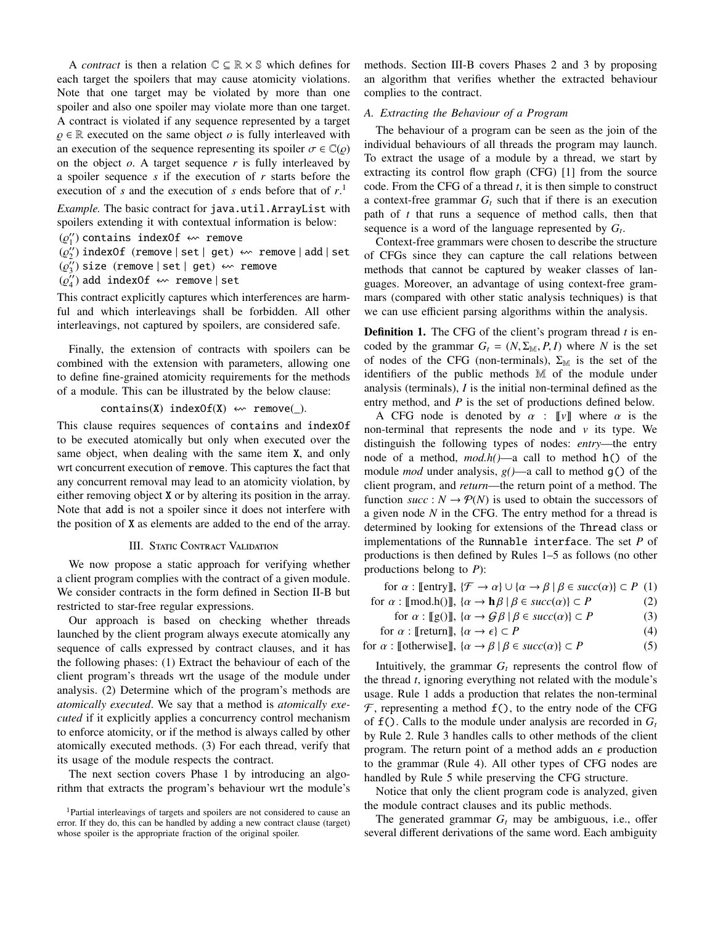A *contract* is then a relation  $\mathbb{C} \subseteq \mathbb{R} \times \mathbb{S}$  which defines for each target the spoilers that may cause atomicity violations. Note that one target may be violated by more than one spoiler and also one spoiler may violate more than one target. A contract is violated if any sequence represented by a target  $\rho \in \mathbb{R}$  executed on the same object  $\rho$  is fully interleaved with an execution of the sequence representing its spoiler  $\sigma \in \mathbb{C}(\rho)$ on the object *o*. A target sequence *r* is fully interleaved by a spoiler sequence *s* if the execution of *r* starts before the execution of *s* and the execution of *s* ends before that of *r*. 1

*Example.* The basic contract for java.util.ArrayList with spoilers extending it with contextual information is below:

```
(Q_1'') contains indexOf \leftarrow remove
```

```
\overline{(\varrho'_{2})} indexOf (remove | set | get) « remove | add | set<br>\overline{(\varrho'')} size (remove | set | get) ( \overline{\varrho} remove
```
 $(\varrho_{\alpha}^{r_{j}})$  size (remove | set | get)  $\leftrightarrow$  remove<br> $(\varrho_{\alpha}^{r_{j}})$  add, index 0.5  $\leftrightarrow$  remove | set

 $(\varrho_4'')$  add <code>indexOf  $\leftrightsquigarrow$  remove</code>  $|\text{set}$ 

This contract explicitly captures which interferences are harmful and which interleavings shall be forbidden. All other interleavings, not captured by spoilers, are considered safe.

Finally, the extension of contracts with spoilers can be combined with the extension with parameters, allowing one to define fine-grained atomicity requirements for the methods of a module. This can be illustrated by the below clause:

 $contains(X)$  indexO $f(X) \leftrightsquigarrow$  remove(\_).

This clause requires sequences of contains and indexOf to be executed atomically but only when executed over the same object, when dealing with the same item X, and only wrt concurrent execution of remove. This captures the fact that any concurrent removal may lead to an atomicity violation, by either removing object X or by altering its position in the array. Note that add is not a spoiler since it does not interfere with the position of X as elements are added to the end of the array.

# III. STATIC CONTRACT VALIDATION

We now propose a static approach for verifying whether a client program complies with the contract of a given module. We consider contracts in the form defined in Section II-B but restricted to star-free regular expressions.

Our approach is based on checking whether threads launched by the client program always execute atomically any sequence of calls expressed by contract clauses, and it has the following phases: (1) Extract the behaviour of each of the client program's threads wrt the usage of the module under analysis. (2) Determine which of the program's methods are *atomically executed*. We say that a method is *atomically executed* if it explicitly applies a concurrency control mechanism to enforce atomicity, or if the method is always called by other atomically executed methods. (3) For each thread, verify that its usage of the module respects the contract.

The next section covers Phase 1 by introducing an algorithm that extracts the program's behaviour wrt the module's

<sup>1</sup>Partial interleavings of targets and spoilers are not considered to cause an error. If they do, this can be handled by adding a new contract clause (target) whose spoiler is the appropriate fraction of the original spoiler.

methods. Section III-B covers Phases 2 and 3 by proposing an algorithm that verifies whether the extracted behaviour complies to the contract.

## *A. Extracting the Behaviour of a Program*

The behaviour of a program can be seen as the join of the individual behaviours of all threads the program may launch. To extract the usage of a module by a thread, we start by extracting its control flow graph (CFG) [1] from the source code. From the CFG of a thread *t*, it is then simple to construct a context-free grammar  $G_t$  such that if there is an execution path of *t* that runs a sequence of method calls, then that sequence is a word of the language represented by *G<sup>t</sup>* .

Context-free grammars were chosen to describe the structure of CFGs since they can capture the call relations between methods that cannot be captured by weaker classes of languages. Moreover, an advantage of using context-free grammars (compared with other static analysis techniques) is that we can use efficient parsing algorithms within the analysis.

Definition 1. The CFG of the client's program thread *t* is encoded by the grammar  $G_t = (N, \Sigma_M, P, I)$  where *N* is the set of nodes of the CFG (non-terminals),  $\Sigma_{\mathbb{M}}$  is the set of the identifiers of the public methods M of the module under analysis (terminals), *I* is the initial non-terminal defined as the entry method, and *P* is the set of productions defined below.

A CFG node is denoted by  $\alpha$  :  $\llbracket v \rrbracket$  where  $\alpha$  is the non-terminal that represents the node and  $v$  its type. We distinguish the following types of nodes: *entry*—the entry node of a method, *mod.h()*—a call to method h() of the module *mod* under analysis, *g()*—a call to method g() of the client program, and *return*—the return point of a method. The function  $succ: N \rightarrow \mathcal{P}(N)$  is used to obtain the successors of a given node *N* in the CFG. The entry method for a thread is determined by looking for extensions of the Thread class or implementations of the Runnable interface. The set *P* of productions is then defined by Rules 1–5 as follows (no other productions belong to *P*):

for  $\alpha$  : [[entry]],  $\{\mathcal{F} \to \alpha\} \cup \{\alpha \to \beta \mid \beta \in succ(\alpha)\} \subset P$  (1)<br>:  $\alpha$  : [[mod.h()]],  $\{\alpha \to \mathbf{h}\beta \mid \beta \in succ(\alpha)\} \subset P$  (2)

for  $\alpha$  : [[mod.h()]],  $\{\alpha \to h\beta \mid \beta \in succ(\alpha)\}\subset P$ 

for 
$$
\alpha : [[g()]], \{\alpha \to \mathcal{G}\beta \mid \beta \in succ(\alpha)\} \subset P
$$
 (3)  
for  $\alpha : [[return]], \{\alpha \to \alpha\} \subset P$  (4)

for 
$$
\alpha
$$
: [return],  $\{\alpha \to \epsilon\} \subset P$  (4)  
 $\alpha$ : **Information**  $[\alpha \to \beta] \beta \in succ(\alpha)] \subset P$  (5)

for  $\alpha$  : [[otherwise]],  $\{\alpha \to \beta \mid \beta \in succ(\alpha)\} \subset P$  (5)

Intuitively, the grammar  $G_t$  represents the control flow of the thread *t*, ignoring everything not related with the module's usage. Rule 1 adds a production that relates the non-terminal  $\mathcal F$ , representing a method  $f()$ , to the entry node of the CFG of f(). Calls to the module under analysis are recorded in *G<sup>t</sup>* by Rule 2. Rule 3 handles calls to other methods of the client program. The return point of a method adds an  $\epsilon$  production to the grammar (Rule 4). All other types of CFG nodes are handled by Rule 5 while preserving the CFG structure.

Notice that only the client program code is analyzed, given the module contract clauses and its public methods.

The generated grammar  $G_t$  may be ambiguous, i.e., offer several different derivations of the same word. Each ambiguity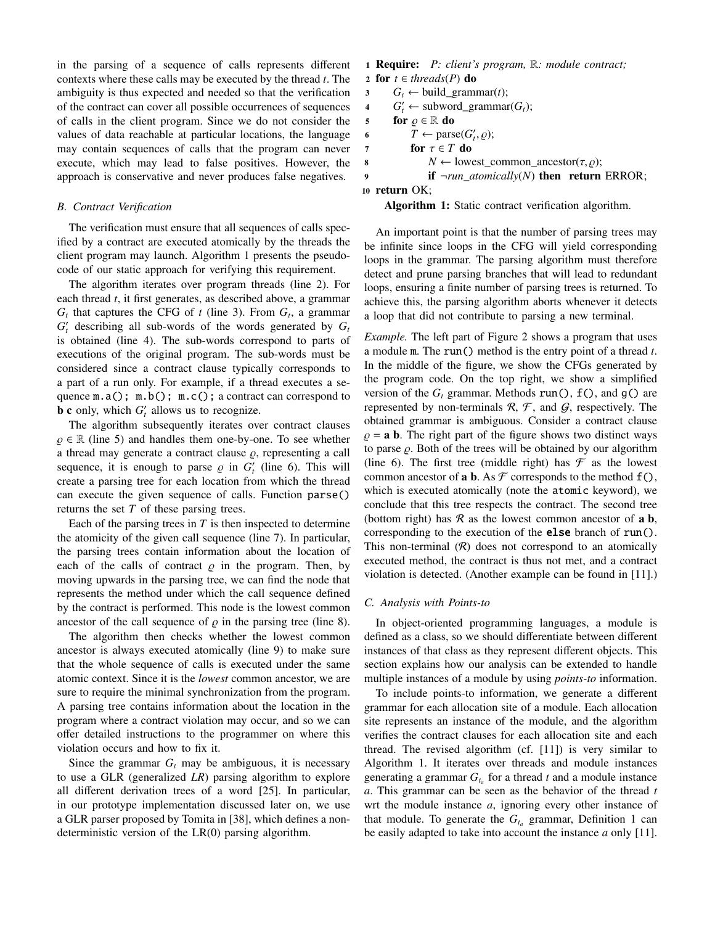in the parsing of a sequence of calls represents different contexts where these calls may be executed by the thread *t*. The ambiguity is thus expected and needed so that the verification of the contract can cover all possible occurrences of sequences of calls in the client program. Since we do not consider the values of data reachable at particular locations, the language may contain sequences of calls that the program can never execute, which may lead to false positives. However, the approach is conservative and never produces false negatives.

# *B. Contract Verification*

The verification must ensure that all sequences of calls specified by a contract are executed atomically by the threads the client program may launch. Algorithm 1 presents the pseudocode of our static approach for verifying this requirement.

The algorithm iterates over program threads (line 2). For each thread *t*, it first generates, as described above, a grammar  $G_t$  that captures the CFG of *t* (line 3). From  $G_t$ , a grammar  $G'$ <sup>*t*</sup> describing all sub-words of the words generated by  $G_t$ is obtained (line 4). The sub-words correspond to parts of executions of the original program. The sub-words must be considered since a contract clause typically corresponds to a part of a run only. For example, if a thread executes a sequence m.a(); m.b(); m.c(); a contract can correspond to **b** c only, which  $G_t'$  allows us to recognize.

The algorithm subsequently iterates over contract clauses  $\rho \in \mathbb{R}$  (line 5) and handles them one-by-one. To see whether a thread may generate a contract clause  $\rho$ , representing a call sequence, it is enough to parse  $\rho$  in  $G'_{t}$  (line 6). This will<br>create a parsing tree for each location from which the thread create a parsing tree for each location from which the thread can execute the given sequence of calls. Function parse() returns the set *T* of these parsing trees.

Each of the parsing trees in  $T$  is then inspected to determine the atomicity of the given call sequence (line 7). In particular, the parsing trees contain information about the location of each of the calls of contract  $\rho$  in the program. Then, by moving upwards in the parsing tree, we can find the node that represents the method under which the call sequence defined by the contract is performed. This node is the lowest common ancestor of the call sequence of  $\rho$  in the parsing tree (line 8).

The algorithm then checks whether the lowest common ancestor is always executed atomically (line 9) to make sure that the whole sequence of calls is executed under the same atomic context. Since it is the *lowest* common ancestor, we are sure to require the minimal synchronization from the program. A parsing tree contains information about the location in the program where a contract violation may occur, and so we can offer detailed instructions to the programmer on where this violation occurs and how to fix it.

Since the grammar  $G_t$  may be ambiguous, it is necessary to use a GLR (generalized *LR*) parsing algorithm to explore all different derivation trees of a word [25]. In particular, in our prototype implementation discussed later on, we use a GLR parser proposed by Tomita in [38], which defines a nondeterministic version of the LR(0) parsing algorithm.

<sup>1</sup> Require: *P: client's program,* R*: module contract;* 2 for  $t \in \text{threads}(P)$  do

3  $G_t \leftarrow \text{build\_grammar}(t);$ 4  $G'_{t} \leftarrow \text{subword\_grammar}(G_{t});$ 5 for  $\rho \in \mathbb{R}$  do<br>6  $T \leftarrow$  pars

```
6 T \leftarrow \text{parse}(G'_t, \varrho);<br>
for \tau \in T do
```

```
7 for \tau \in T do<br>8 N \leftarrow \text{low}
```
8  $N \leftarrow$  lowest\_common\_ancestor( $\tau$ , $\varrho$ );<br>9 **if**  $\neg run \ atomically(N)$  **then return** 

```
if \neg run\_atomically(N) then return ERROR;
```
# <sup>10</sup> return OK;

Algorithm 1: Static contract verification algorithm.

An important point is that the number of parsing trees may be infinite since loops in the CFG will yield corresponding loops in the grammar. The parsing algorithm must therefore detect and prune parsing branches that will lead to redundant loops, ensuring a finite number of parsing trees is returned. To achieve this, the parsing algorithm aborts whenever it detects a loop that did not contribute to parsing a new terminal.

*Example.* The left part of Figure 2 shows a program that uses a module m. The run() method is the entry point of a thread *t*. In the middle of the figure, we show the CFGs generated by the program code. On the top right, we show a simplified version of the  $G_t$  grammar. Methods run(),  $f($ ), and  $g($ ) are represented by non-terminals  $\mathcal{R}, \mathcal{F}$ , and  $\mathcal{G}$ , respectively. The obtained grammar is ambiguous. Consider a contract clause  $\rho = a b$ . The right part of the figure shows two distinct ways to parse  $\rho$ . Both of the trees will be obtained by our algorithm (line 6). The first tree (middle right) has  $\mathcal F$  as the lowest common ancestor of **a b**. As  $\mathcal F$  corresponds to the method  $f(.)$ , which is executed atomically (note the atomic keyword), we conclude that this tree respects the contract. The second tree (bottom right) has  $\mathcal R$  as the lowest common ancestor of **a** b, corresponding to the execution of the **else** branch of run(). This non-terminal  $(R)$  does not correspond to an atomically executed method, the contract is thus not met, and a contract violation is detected. (Another example can be found in [11].)

# *C. Analysis with Points-to*

In object-oriented programming languages, a module is defined as a class, so we should differentiate between different instances of that class as they represent different objects. This section explains how our analysis can be extended to handle multiple instances of a module by using *points-to* information.

To include points-to information, we generate a different grammar for each allocation site of a module. Each allocation site represents an instance of the module, and the algorithm verifies the contract clauses for each allocation site and each thread. The revised algorithm (cf. [11]) is very similar to Algorithm 1. It iterates over threads and module instances generating a grammar  $G_{t_a}$  for a thread  $t$  and a module instance *a*. This grammar can be seen as the behavior of the thread *t* wrt the module instance *a*, ignoring every other instance of that module. To generate the  $G_{t_a}$  grammar, Definition 1 can be easily adapted to take into account the instance *a* only [11].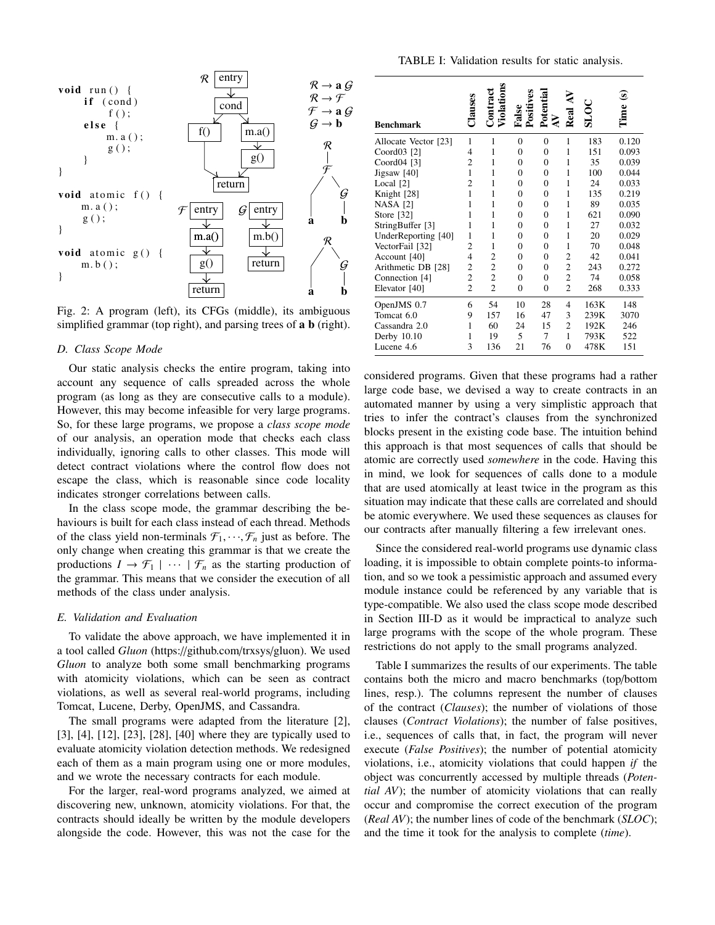TABLE I: Validation results for static analysis.



Fig. 2: A program (left), its CFGs (middle), its ambiguous simplified grammar (top right), and parsing trees of **a b** (right).

#### *D. Class Scope Mode*

Our static analysis checks the entire program, taking into account any sequence of calls spreaded across the whole program (as long as they are consecutive calls to a module). However, this may become infeasible for very large programs. So, for these large programs, we propose a *class scope mode* of our analysis, an operation mode that checks each class individually, ignoring calls to other classes. This mode will detect contract violations where the control flow does not escape the class, which is reasonable since code locality indicates stronger correlations between calls.

In the class scope mode, the grammar describing the behaviours is built for each class instead of each thread. Methods of the class yield non-terminals  $\mathcal{F}_1, \dots, \mathcal{F}_n$  just as before. The only change when creating this grammar is that we create the productions  $I \to \mathcal{F}_1 \mid \cdots \mid \mathcal{F}_n$  as the starting production of the grammar. This means that we consider the execution of all methods of the class under analysis.

# *E. Validation and Evaluation*

To validate the above approach, we have implemented it in a tool called *Gluon* (https://github.com/trxsys/gluon). We used *Gluon* to analyze both some small benchmarking programs with atomicity violations, which can be seen as contract violations, as well as several real-world programs, including Tomcat, Lucene, Derby, OpenJMS, and Cassandra.

The small programs were adapted from the literature [2], [3], [4], [12], [23], [28], [40] where they are typically used to evaluate atomicity violation detection methods. We redesigned each of them as a main program using one or more modules, and we wrote the necessary contracts for each module.

For the larger, real-word programs analyzed, we aimed at discovering new, unknown, atomicity violations. For that, the contracts should ideally be written by the module developers alongside the code. However, this was not the case for the

| <b>Benchmark</b>       | Clauses        | Violations<br>Contract | Positives<br>False | Potentia       | Real           | 500  | ڡ<br>Time |
|------------------------|----------------|------------------------|--------------------|----------------|----------------|------|-----------|
| Allocate Vector [23]   | 1              | 1                      | $\theta$           | $\overline{0}$ | 1              | 183  | 0.120     |
| Coord03 <sup>[2]</sup> | 4              | 1                      | $\theta$           | $\theta$       | 1              | 151  | 0.093     |
| Coord04 <sup>[3]</sup> | $\overline{c}$ | 1                      | 0                  | $\theta$       | 1              | 35   | 0.039     |
| Jigsaw [40]            | 1              | 1                      | $\theta$           | $\overline{0}$ | 1              | 100  | 0.044     |
| Local [2]              | $\overline{c}$ | 1                      | $\theta$           | $\overline{0}$ | 1              | 24   | 0.033     |
| Knight [28]            | 1              | 1                      | $\overline{0}$     | $\overline{0}$ | 1              | 135  | 0.219     |
| <b>NASA</b> [2]        | 1              | 1                      | $\theta$           | $\overline{0}$ | 1              | 89   | 0.035     |
| Store $[32]$           | 1              | 1                      | $\theta$           | $\theta$       | 1              | 621  | 0.090     |
| StringBuffer [3]       | 1              | 1                      | $\theta$           | $\theta$       | 1              | 27   | 0.032     |
| UnderReporting [40]    | 1              | 1                      | 0                  | $\theta$       | 1              | 20   | 0.029     |
| VectorFail [32]        | $\overline{c}$ | 1                      | 0                  | $\overline{0}$ | 1              | 70   | 0.048     |
| Account [40]           | 4              | $\overline{c}$         | $\theta$           | $\overline{0}$ | 2              | 42   | 0.041     |
| Arithmetic DB [28]     | 2              | $\overline{c}$         | $\theta$           | $\overline{0}$ | $\overline{c}$ | 243  | 0.272     |
| Connection [4]         | $\overline{c}$ | $\overline{2}$         | $\theta$           | 0              | $\overline{c}$ | 74   | 0.058     |
| Elevator [40]          | $\overline{c}$ | $\overline{c}$         | $\theta$           | $\theta$       | $\overline{c}$ | 268  | 0.333     |
| OpenJMS 0.7            | 6              | 54                     | 10                 | 28             | $\overline{4}$ | 163K | 148       |
| Tomcat 6.0             | 9              | 157                    | 16                 | 47             | 3              | 239K | 3070      |
| Cassandra 2.0          | 1              | 60                     | 24                 | 15             | $\overline{c}$ | 192K | 246       |
| Derby 10.10            | 1              | 19                     | 5                  | 7              | 1              | 793K | 522       |
| Lucene 4.6             | 3              | 136                    | 21                 | 76             | 0              | 478K | 151       |

considered programs. Given that these programs had a rather large code base, we devised a way to create contracts in an automated manner by using a very simplistic approach that tries to infer the contract's clauses from the synchronized blocks present in the existing code base. The intuition behind this approach is that most sequences of calls that should be atomic are correctly used *somewhere* in the code. Having this in mind, we look for sequences of calls done to a module that are used atomically at least twice in the program as this situation may indicate that these calls are correlated and should be atomic everywhere. We used these sequences as clauses for our contracts after manually filtering a few irrelevant ones.

Since the considered real-world programs use dynamic class loading, it is impossible to obtain complete points-to information, and so we took a pessimistic approach and assumed every module instance could be referenced by any variable that is type-compatible. We also used the class scope mode described in Section III-D as it would be impractical to analyze such large programs with the scope of the whole program. These restrictions do not apply to the small programs analyzed.

Table I summarizes the results of our experiments. The table contains both the micro and macro benchmarks (top/bottom lines, resp.). The columns represent the number of clauses of the contract (*Clauses*); the number of violations of those clauses (*Contract Violations*); the number of false positives, i.e., sequences of calls that, in fact, the program will never execute (*False Positives*); the number of potential atomicity violations, i.e., atomicity violations that could happen *if* the object was concurrently accessed by multiple threads (*Potential AV*); the number of atomicity violations that can really occur and compromise the correct execution of the program (*Real AV*); the number lines of code of the benchmark (*SLOC*); and the time it took for the analysis to complete (*time*).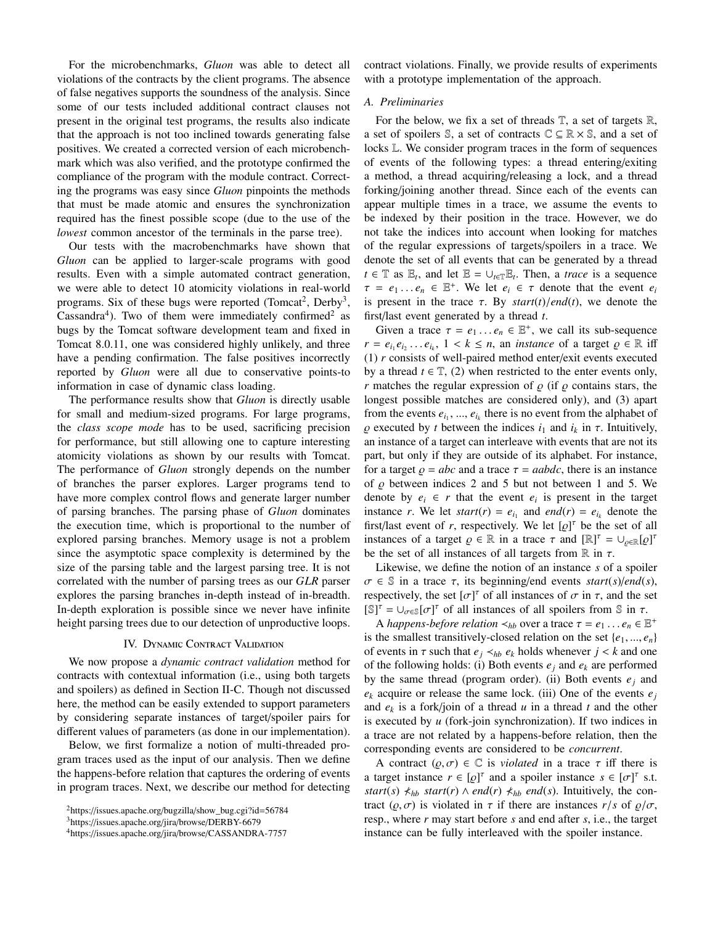For the microbenchmarks, *Gluon* was able to detect all violations of the contracts by the client programs. The absence of false negatives supports the soundness of the analysis. Since some of our tests included additional contract clauses not present in the original test programs, the results also indicate that the approach is not too inclined towards generating false positives. We created a corrected version of each microbenchmark which was also verified, and the prototype confirmed the compliance of the program with the module contract. Correcting the programs was easy since *Gluon* pinpoints the methods that must be made atomic and ensures the synchronization required has the finest possible scope (due to the use of the *lowest* common ancestor of the terminals in the parse tree).

Our tests with the macrobenchmarks have shown that *Gluon* can be applied to larger-scale programs with good results. Even with a simple automated contract generation, we were able to detect 10 atomicity violations in real-world programs. Six of these bugs were reported (Tomcat<sup>2</sup>, Derby<sup>3</sup>, Cassandra<sup>4</sup>). Two of them were immediately confirmed<sup>2</sup> as bugs by the Tomcat software development team and fixed in Tomcat 8.0.11, one was considered highly unlikely, and three have a pending confirmation. The false positives incorrectly reported by *Gluon* were all due to conservative points-to information in case of dynamic class loading.

The performance results show that *Gluon* is directly usable for small and medium-sized programs. For large programs, the *class scope mode* has to be used, sacrificing precision for performance, but still allowing one to capture interesting atomicity violations as shown by our results with Tomcat. The performance of *Gluon* strongly depends on the number of branches the parser explores. Larger programs tend to have more complex control flows and generate larger number of parsing branches. The parsing phase of *Gluon* dominates the execution time, which is proportional to the number of explored parsing branches. Memory usage is not a problem since the asymptotic space complexity is determined by the size of the parsing table and the largest parsing tree. It is not correlated with the number of parsing trees as our *GLR* parser explores the parsing branches in-depth instead of in-breadth. In-depth exploration is possible since we never have infinite height parsing trees due to our detection of unproductive loops.

## IV. DYNAMIC CONTRACT VALIDATION

We now propose a *dynamic contract validation* method for contracts with contextual information (i.e., using both targets and spoilers) as defined in Section II-C. Though not discussed here, the method can be easily extended to support parameters by considering separate instances of target/spoiler pairs for different values of parameters (as done in our implementation).

Below, we first formalize a notion of multi-threaded program traces used as the input of our analysis. Then we define the happens-before relation that captures the ordering of events in program traces. Next, we describe our method for detecting contract violations. Finally, we provide results of experiments with a prototype implementation of the approach.

# *A. Preliminaries*

For the below, we fix a set of threads  $\mathbb{T}$ , a set of targets  $\mathbb{R}$ , a set of spoilers  $\mathcal{S}$ , a set of contracts  $\mathcal{C} \subseteq \mathbb{R} \times \mathcal{S}$ , and a set of locks L. We consider program traces in the form of sequences of events of the following types: a thread entering/exiting a method, a thread acquiring/releasing a lock, and a thread forking/joining another thread. Since each of the events can appear multiple times in a trace, we assume the events to be indexed by their position in the trace. However, we do not take the indices into account when looking for matches of the regular expressions of targets/spoilers in a trace. We denote the set of all events that can be generated by a thread  $t \in \mathbb{T}$  as  $\mathbb{E}_t$ , and let  $\mathbb{E} = \cup_{t \in \mathbb{T}} \mathbb{E}_t$ . Then, a *trace* is a sequence  $\tau = e_1 \dots e_n \in \mathbb{B}^+$ . We let  $e_i \in \tau$  denote that the event  $e_i$ <br>is present in the trace  $\tau$ . By start(t)/end(t), we denote the is present in the trace  $\tau$ . By *start*(*t*)/*end*(*t*), we denote the first/last event generated by a thread *t*.

Given a trace  $\tau = e_1 \dots e_n \in \mathbb{E}^+$ , we call its sub-sequence<br> $\tau = e_1 e_2 \dots e_n$  =  $1 \le k \le n$  an *instance* of a target  $\alpha \in \mathbb{R}$  iff  $r = e_{i_1}e_{i_2} \dots e_{i_k}$ ,  $1 < k \leq n$ , an *instance* of a target  $\varrho \in \mathbb{R}$  iff (1) *r* consists of well-paired method enter/exit events executed (1) *r* consists of well-paired method enter/exit events executed by a thread  $t \in \mathbb{T}$ , (2) when restricted to the enter events only, *r* matches the regular expression of  $\rho$  (if  $\rho$  contains stars, the longest possible matches are considered only), and (3) apart from the events  $e_{i_1}, ..., e_{i_k}$  there is no event from the alphabet of  $\rho$  executed by *t* between the indices  $i_1$  and  $i_k$  in  $\tau$ . Intuitively, an instance of a target can interleave with events that are not its part, but only if they are outside of its alphabet. For instance, for a target  $\rho = abc$  and a trace  $\tau = aabdc$ , there is an instance of  $\rho$  between indices 2 and 5 but not between 1 and 5. We denote by  $e_i \in r$  that the event  $e_i$  is present in the target instance *r*. We let  $start(r) = e_{i_1}$  and  $end(r) = e_{i_k}$  denote the first/last event of *r*, respectively. We let  $[\varrho]^{\tau}$  be the set of all<br>instances of a target  $\varrho \in \mathbb{R}$  in a trace  $\tau$  and  $[\mathbb{R}]^{\tau} = [1, \tau]$ instances of a target  $\varrho \in \mathbb{R}$  in a trace  $\tau$  and  $[\mathbb{R}]^{\tau} = \bigcup_{\varrho \in \mathbb{R}} [\varrho]^{\tau}$ <br>be the set of all instances of all targets from  $\mathbb{R}$  in  $\tau$ be the set of all instances of all targets from  $\mathbb R$  in  $\tau$ .

Likewise, we define the notion of an instance *s* of a spoiler  $\sigma \in \mathbb{S}$  in a trace  $\tau$ , its beginning/end events *start*(*s*)/*end*(*s*), respectively, the set  $[\sigma]^{\tau}$  of all instances of  $\sigma$  in  $\tau$ , and the set  $[s]$  $[\mathbb{S}]^T = \bigcup_{\sigma \in \mathbb{S}} [\sigma]^T$  of all instances of all spoilers from  $\mathbb{S}$  in  $\tau$ .<br>A happen s-hefore relation  $\lt \tau$ , over a trace  $\tau = e$ ,  $e \in \mathbb{R}$ 

A *happens-before relation*  $\lt_{hb}$  over a trace  $\tau = e_1 \dots e_n \in \mathbb{E}^+$ <br>the smallest transitively-closed relation on the set  $\{e_1, \ldots, e_n\}$ is the smallest transitively-closed relation on the set  $\{e_1, ..., e_n\}$ of events in  $\tau$  such that  $e_j \prec_{hb} e_k$  holds whenever  $j < k$  and one of the following holds: (i) Both events *e<sup>j</sup>* and *e<sup>k</sup>* are performed by the same thread (program order). (ii) Both events  $e_i$  and  $e_k$  acquire or release the same lock. (iii) One of the events  $e_j$ and *e<sup>k</sup>* is a fork/join of a thread *u* in a thread *t* and the other is executed by *u* (fork-join synchronization). If two indices in a trace are not related by a happens-before relation, then the corresponding events are considered to be *concurrent*.

A contract  $(\varrho, \sigma) \in \mathbb{C}$  is *violated* in a trace  $\tau$  iff there is a target instance  $r \in [\varrho]^{\tau}$  and a spoiler instance  $s \in [\sigma]^{\tau}$  s.t.<br>start(s)  $\mathcal{L}_{\tau}$ , start(x)  $\wedge$  and(x)  $\mathcal{L}_{\tau}$ , and(s) Intuitively the con*start*(*s*)  $\nless$ *h<sub>b</sub> start*(*r*)  $\land$  *end*(*r*)  $\nless$ *<sub><i>khb</sub> end*(*s*). Intuitively, the con-</sub> tract  $(\rho, \sigma)$  is violated in  $\tau$  if there are instances  $r/s$  of  $\rho/\sigma$ , resp., where *r* may start before *s* and end after *s*, i.e., the target instance can be fully interleaved with the spoiler instance.

<sup>2</sup>https://issues.apache.org/bugzilla/show\_bug.cgi?id=56784

<sup>3</sup>https://issues.apache.org/jira/browse/DERBY-6679

<sup>4</sup>https://issues.apache.org/jira/browse/CASSANDRA-7757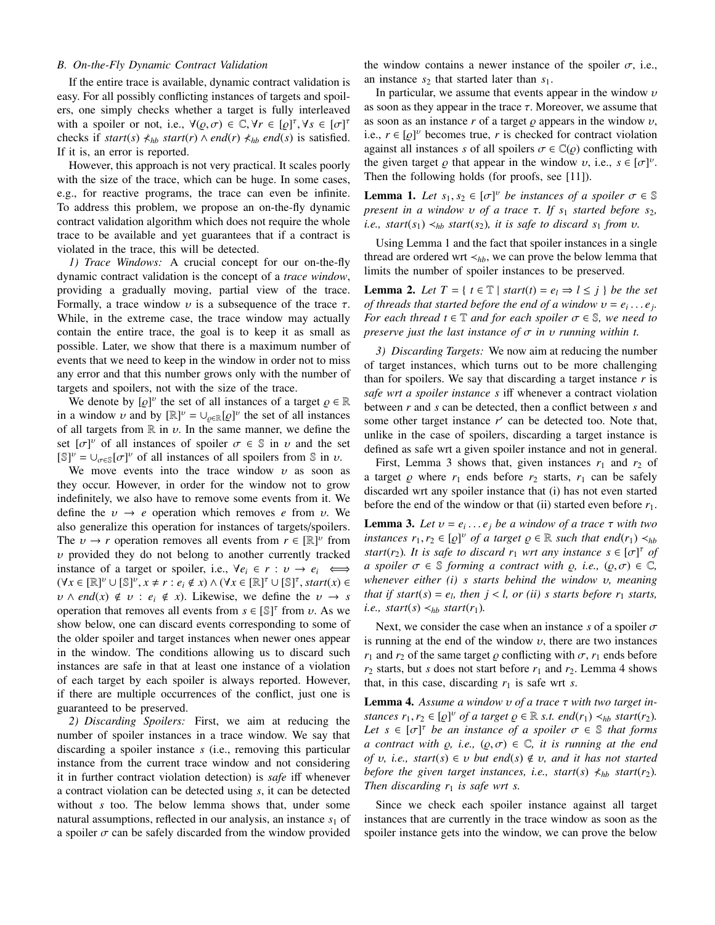# *B. On-the-Fly Dynamic Contract Validation*

If the entire trace is available, dynamic contract validation is easy. For all possibly conflicting instances of targets and spoilers, one simply checks whether a target is fully interleaved with a spoiler or not, i.e.,  $\forall (\varrho, \sigma) \in \mathbb{C}, \forall r \in [\varrho]^r, \forall s \in [\sigma]^r$ <br>checks if start(s)  $\forall y$ , start(x)  $\land$  and(x)  $\forall y$ , and(s) is satisfied checks if *start*(*s*)  $\nless_h$ <sub>*hb*</sub> *start*(*r*)  $\land$  *end*(*r*)  $\nless_h$ <sub>*hb*</sub> *end*(*s*) is satisfied. If it is, an error is reported.

However, this approach is not very practical. It scales poorly with the size of the trace, which can be huge. In some cases, e.g., for reactive programs, the trace can even be infinite. To address this problem, we propose an on-the-fly dynamic contract validation algorithm which does not require the whole trace to be available and yet guarantees that if a contract is violated in the trace, this will be detected.

*1) Trace Windows:* A crucial concept for our on-the-fly dynamic contract validation is the concept of a *trace window*, providing a gradually moving, partial view of the trace. Formally, a trace window  $\nu$  is a subsequence of the trace  $\tau$ . While, in the extreme case, the trace window may actually contain the entire trace, the goal is to keep it as small as possible. Later, we show that there is a maximum number of events that we need to keep in the window in order not to miss any error and that this number grows only with the number of targets and spoilers, not with the size of the trace.

We denote by  $[\varrho]^{\nu}$  the set of all instances of a target  $\varrho \in \mathbb{R}$ <br>a window u and by  $[\mathbb{R}^{\nu} - 1]$  solve the set of all instances in a window *v* and by  $[\mathbb{R}]^{\nu} = \bigcup_{\varrho \in \mathbb{R}} [\varrho]^{\nu}$  the set of all instances of all targets from  $\mathbb{R}$  in *v*. In the same manner, we define the of all targets from  $\mathbb R$  in  $\upsilon$ . In the same manner, we define the set  $[\sigma]^v$  of all instances of spoiler  $\sigma \in \mathbb{S}$  in v and the set  $[\mathbb{S}]^{\nu} = \bigcup_{\sigma \in \mathbb{S}} [\sigma]^{\nu}$  of all instances of all spoilers from  $\mathbb{S}$  in  $\upsilon$ .<br>We move events into the trace window  $\upsilon$  as soon is

We move events into the trace window  $\nu$  as soon as they occur. However, in order for the window not to grow indefinitely, we also have to remove some events from it. We define the  $v \rightarrow e$  operation which removes *e* from *v*. We also generalize this operation for instances of targets/spoilers. The  $v \to r$  operation removes all events from  $r \in [\mathbb{R}]^v$  from  $u$  provided they do not belong to another currently tracked  $\nu$  provided they do not belong to another currently tracked instance of a target or spoiler, i.e.,  $\forall e_i \in r : v \rightarrow e_i \iff$  $(\forall x \in [\mathbb{R}]^v \cup [\mathbb{S}]^v, x \neq r : e_i \notin x) \land (\forall x \in [\mathbb{R}]^r \cup [\mathbb{S}]^r, start(x) \in$ <br>  $u \land end(x) \notin u : e_i \notin x$ ) I ikewise, we define the  $u \to s$  $v \wedge end(x) \notin v : e_i \notin x$ ). Likewise, we define the  $v \rightarrow s$ operation that removes all events from  $s \in [\mathbb{S}]^T$  from *v*. As we show below one can discard events corresponding to some of show below, one can discard events corresponding to some of the older spoiler and target instances when newer ones appear in the window. The conditions allowing us to discard such instances are safe in that at least one instance of a violation of each target by each spoiler is always reported. However, if there are multiple occurrences of the conflict, just one is guaranteed to be preserved.

*2) Discarding Spoilers:* First, we aim at reducing the number of spoiler instances in a trace window. We say that discarding a spoiler instance *s* (i.e., removing this particular instance from the current trace window and not considering it in further contract violation detection) is *safe* iff whenever a contract violation can be detected using *s*, it can be detected without *s* too. The below lemma shows that, under some natural assumptions, reflected in our analysis, an instance  $s<sub>1</sub>$  of a spoiler  $\sigma$  can be safely discarded from the window provided the window contains a newer instance of the spoiler  $\sigma$ , i.e., an instance  $s_2$  that started later than  $s_1$ .

In particular, we assume that events appear in the window  $\nu$ as soon as they appear in the trace  $\tau$ . Moreover, we assume that as soon as an instance  $r$  of a target  $\rho$  appears in the window  $v$ , i.e.,  $r \in [\varrho]^{\nu}$  becomes true, *r* is checked for contract violation against all instances s of all spoilers  $\sigma \in \mathcal{C}(\alpha)$  conflicting with against all instances *s* of all spoilers  $\sigma \in \mathbb{C}(\rho)$  conflicting with the given target  $\varrho$  that appear in the window  $v$ , i.e.,  $s \in [\sigma]^{\nu}$ .<br>Then the following holds (for proofs, see [111]) Then the following holds (for proofs, see [11]).

**Lemma 1.** Let  $s_1, s_2 \in [\sigma]^v$  be instances of a spoiler  $\sigma \in \mathbb{S}$ <br>present in a window u of a trace  $\tau$ . If s. started before s. *present in a window* <sup>υ</sup> *of a trace* <sup>τ</sup>*. If s*<sup>1</sup> *started before s*2*, i.e., start*( $s_1$ )  $\lt_{hb}$  *start*( $s_2$ )*, it is safe to discard s<sub>1</sub> from v.* 

Using Lemma 1 and the fact that spoiler instances in a single thread are ordered wrt  $\lt_{hb}$ , we can prove the below lemma that limits the number of spoiler instances to be preserved.

**Lemma 2.** Let  $T = \{ t \in \mathbb{T} \mid start(t) = e_l \Rightarrow l \leq j \}$  be the set *of threads that started before the end of a window*  $v = e_i \dots e_j$ *.<br>For each thread*  $t \in \mathbb{T}$  *and for each spoiler*  $\sigma \in \mathbb{S}$ *, we need to For each thread*  $t \in \mathbb{T}$  *and for each spoiler*  $\sigma \in \mathbb{S}$ *, we need to preserve just the last instance of*  $\sigma$  *in*  $\nu$  *running within t.* 

*3) Discarding Targets:* We now aim at reducing the number of target instances, which turns out to be more challenging than for spoilers. We say that discarding a target instance  $r$  is *safe wrt a spoiler instance s* iff whenever a contract violation between *r* and *s* can be detected, then a conflict between *s* and some other target instance  $r'$  can be detected too. Note that, unlike in the case of spoilers, discarding a target instance is defined as safe wrt a given spoiler instance and not in general.

First, Lemma 3 shows that, given instances  $r_1$  and  $r_2$  of a target  $\varrho$  where  $r_1$  ends before  $r_2$  starts,  $r_1$  can be safely discarded wrt any spoiler instance that (i) has not even started before the end of the window or that (ii) started even before  $r_1$ .

**Lemma 3.** Let  $v = e_i \dots e_j$  be a window of a trace  $\tau$  with two instances  $r_i, r_i \in [\alpha]^v$  of a target  $\alpha \in \mathbb{R}$  such that end( $r_i$ )  $\geq \alpha$ *instances*  $r_1, r_2 \in [\varrho]^v$  *of a target*  $\varrho \in \mathbb{R}$  *such that end*( $r_1$ )  $\prec_h b$  *start*( $r_2$ ) *It is safe to discard*  $r_1$  *wrt any instance*  $s \in [\pi]^r$  *of start*(*r*<sub>2</sub>)*. It is safe to discard r*<sub>1</sub> *wrt any instance*  $s \in [\sigma]^{\tau}$  *of o s o s o s s s forming a contract with o i e* (*o s*)  $\in$   $\mathbb{C}$ *a spoiler*  $\sigma \in \mathcal{S}$  *forming a contract with*  $\rho$ *, i.e.,*  $(\rho, \sigma) \in \mathbb{C}$ *, whenever either (i) s starts behind the window* υ*, meaning that if start*(*s*) =  $e_l$ , then  $j < l$ , or (*ii*) *s starts before*  $r_1$  *starts,*<br>*i.e. start*(*s*)  $\angle v$ , *start*(*r*,) *i.e., start*(*s*)  $\lt_{hb}$  *start*(*r*<sub>1</sub>)*.* 

Next, we consider the case when an instance *s* of a spoiler  $\sigma$ is running at the end of the window  $v$ , there are two instances *r*<sub>1</sub> and *r*<sub>2</sub> of the same target  $\varrho$  conflicting with  $\sigma$ , *r*<sub>1</sub> ends before  $r_2$  starts, but *s* does not start before  $r_1$  and  $r_2$ . Lemma 4 shows that, in this case, discarding  $r_1$  is safe wrt *s*.

Lemma 4. *Assume a window* υ *of a trace* τ *with two target instances*  $r_1, r_2 \in [\varrho]^v$  *of a target*  $\varrho \in \mathbb{R}$  *s.t. end*( $r_1$ )  $\prec_{hb}$  *start*( $r_2$ )*. Let*  $s \in [\pi]^t$  *be an instance of a spoiler*  $\pi \in \mathbb{S}$  *that forms Let*  $s \in [\sigma]^{\tau}$  *be an instance of a spoiler*  $\sigma \in \mathbb{S}$  *that forms* a contract with  $\alpha$  *i.e.*  $(\alpha, \sigma) \in \mathbb{C}$  *it is running at the end a contract with*  $\rho$ , *i.e.*,  $(\rho, \sigma) \in \mathbb{C}$ , *it is running at the end of*  $v$ , *i.e.*, *start*( $s$ )  $\in v$  *but end*( $s$ )  $\notin v$ , *and it has not started before the given target instances, i.e., start(s)*  $k_{hb}$  *start(r<sub>2</sub>)*. *Then discarding r*<sup>1</sup> *is safe wrt s.*

Since we check each spoiler instance against all target instances that are currently in the trace window as soon as the spoiler instance gets into the window, we can prove the below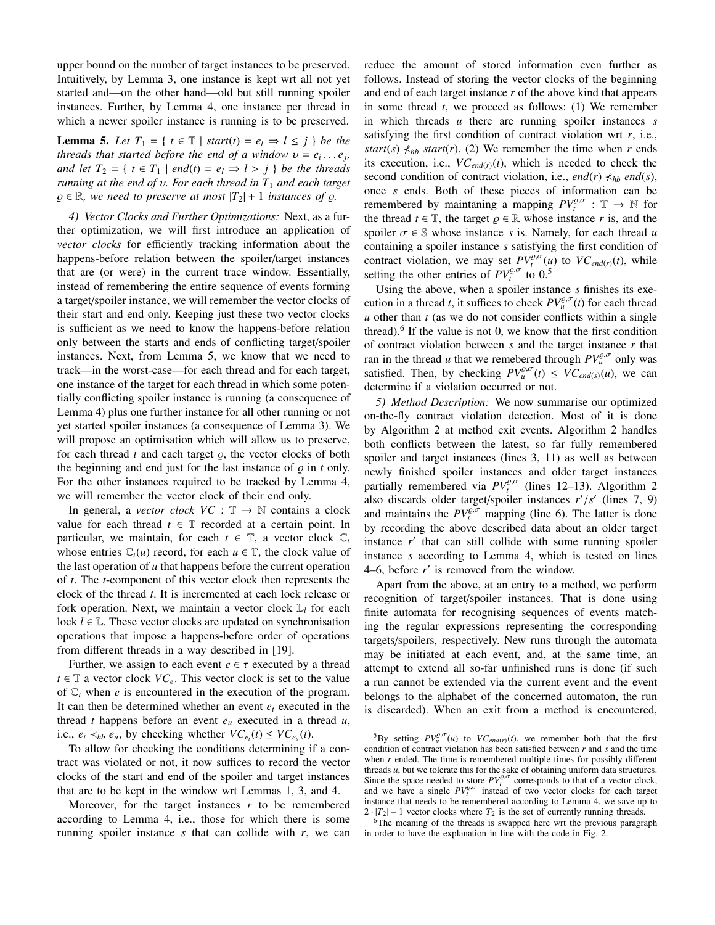upper bound on the number of target instances to be preserved. Intuitively, by Lemma 3, one instance is kept wrt all not yet started and—on the other hand—old but still running spoiler instances. Further, by Lemma 4, one instance per thread in which a newer spoiler instance is running is to be preserved.

**Lemma 5.** Let  $T_1 = \{ t \in \mathbb{T} \mid start(t) = e_l \Rightarrow l \leq j \}$  be the *threads that started before the end of a window*  $v = e_i \dots e_j$ *, and let*  $T_2 = 1$  *t*  $\in T_1 \mid and(t) = e_i \rightarrow 1 \times i \}$  *be the threads and let*  $T_2 = \{ t \in T_1 \mid end(t) = e_l \Rightarrow l > j \}$  *be the threads running at the end of* <sup>υ</sup>*. For each thread in T*<sup>1</sup> *and each target*  $\rho \in \mathbb{R}$ *, we need to preserve at most*  $|T_2| + 1$  *instances of*  $\rho$ *.* 

*4) Vector Clocks and Further Optimizations:* Next, as a further optimization, we will first introduce an application of *vector clocks* for efficiently tracking information about the happens-before relation between the spoiler/target instances that are (or were) in the current trace window. Essentially, instead of remembering the entire sequence of events forming a target/spoiler instance, we will remember the vector clocks of their start and end only. Keeping just these two vector clocks is sufficient as we need to know the happens-before relation only between the starts and ends of conflicting target/spoiler instances. Next, from Lemma 5, we know that we need to track—in the worst-case—for each thread and for each target, one instance of the target for each thread in which some potentially conflicting spoiler instance is running (a consequence of Lemma 4) plus one further instance for all other running or not yet started spoiler instances (a consequence of Lemma 3). We will propose an optimisation which will allow us to preserve, for each thread  $t$  and each target  $\varrho$ , the vector clocks of both the beginning and end just for the last instance of  $\rho$  in  $t$  only. For the other instances required to be tracked by Lemma 4, we will remember the vector clock of their end only.

In general, a *vector clock*  $VC : \mathbb{T} \to \mathbb{N}$  contains a clock value for each thread  $t \in \mathbb{T}$  recorded at a certain point. In particular, we maintain, for each  $t \in \mathbb{T}$ , a vector clock  $\mathbb{C}_t$ whose entries  $\mathbb{C}_t(u)$  record, for each  $u \in \mathbb{T}$ , the clock value of the last operation of *u* that happens before the current operation of *t*. The *t*-component of this vector clock then represents the clock of the thread *t*. It is incremented at each lock release or fork operation. Next, we maintain a vector clock  $L_l$  for each lock  $l \in \mathbb{L}$ . These vector clocks are updated on synchronisation operations that impose a happens-before order of operations from different threads in a way described in [19].

Further, we assign to each event  $e \in \tau$  executed by a thread  $t \in \mathbb{T}$  a vector clock  $VC_e$ . This vector clock is set to the value of  $\mathbb{C}_t$  when *e* is encountered in the execution of the program. It can then be determined whether an event  $e_t$  executed in the thread *t* happens before an event *e<sup>u</sup>* executed in a thread *u*, i.e.,  $e_t \lt_{hb} e_u$ , by checking whether  $VC_{e_t}(t) \le VC_{e_u}(t)$ .

To allow for checking the conditions determining if a contract was violated or not, it now suffices to record the vector clocks of the start and end of the spoiler and target instances that are to be kept in the window wrt Lemmas 1, 3, and 4.

Moreover, for the target instances *r* to be remembered according to Lemma 4, i.e., those for which there is some running spoiler instance *s* that can collide with *r*, we can reduce the amount of stored information even further as follows. Instead of storing the vector clocks of the beginning and end of each target instance *r* of the above kind that appears in some thread *t*, we proceed as follows: (1) We remember in which threads *u* there are running spoiler instances *s* satisfying the first condition of contract violation wrt *r*, i.e., *start*(*s*)  $\nless$ *hb start*(*r*). (2) We remember the time when *r* ends its execution, i.e.,  $VC_{end(r)}(t)$ , which is needed to check the second condition of contract violation, i.e., *end*(*r*)  $\nless_h$ *hb end*(*s*), once *s* ends. Both of these pieces of information can be remembered by maintaning a mapping  $PV_t^{\varrho,\sigma}$ :  $\mathbb{T} \to \mathbb{N}$  for the thread  $t \in \mathbb{T}$ , the target  $\rho \in \mathbb{R}$  whose instance *r* is, and the spoiler  $\sigma \in \mathbb{S}$  whose instance *s* is. Namely, for each thread *u* containing a spoiler instance *s* satisfying the first condition of contract violation, we may set  $PV_t^{\rho,\sigma}(u)$  to  $VC_{end(r)}(t)$ , while setting the other entries of  $PV_t^{\varrho,\sigma}$  to 0.<sup>5</sup>

Using the above, when a spoiler instance *s* finishes its execution in a thread *t*, it suffices to check  $PV_u^{\varrho,\sigma}(t)$  for each thread *u* other than *t* (as we do not consider conflicts within a single thread). $6$  If the value is not 0, we know that the first condition of contract violation between *s* and the target instance *r* that ran in the thread *u* that we remebered through  $PV_u^{\omega, \sigma}$  only was satisfied. Then, by checking  $PV_u^{\varrho,\sigma}(t) \le VC_{end(s)}(u)$ , we can determine if a violation occurred or not.

*5) Method Description:* We now summarise our optimized on-the-fly contract violation detection. Most of it is done by Algorithm 2 at method exit events. Algorithm 2 handles both conflicts between the latest, so far fully remembered spoiler and target instances (lines 3, 11) as well as between newly finished spoiler instances and older target instances partially remembered via  $PV_t^{\varrho,\sigma}$  (lines 12–13). Algorithm 2 also discards older target/spoiler instances  $r'/s'$  (lines 7, 9)<br>and maintains the  $PU^{g,\sigma}$  manning (line 6). The latter is done and maintains the  $PV_t^{\rho,\sigma}$  mapping (line 6). The latter is done by recording the above described data about an older target instance  $r'$  that can still collide with some running spoiler instance *s* according to Lemma 4, which is tested on lines 4–6, before  $r'$  is removed from the window.

Apart from the above, at an entry to a method, we perform recognition of target/spoiler instances. That is done using finite automata for recognising sequences of events matching the regular expressions representing the corresponding targets/spoilers, respectively. New runs through the automata may be initiated at each event, and, at the same time, an attempt to extend all so-far unfinished runs is done (if such a run cannot be extended via the current event and the event belongs to the alphabet of the concerned automaton, the run is discarded). When an exit from a method is encountered,

<sup>&</sup>lt;sup>5</sup>By setting  $PV_v^{\varrho,\sigma}(u)$  to  $VC_{end(r)}(t)$ , we remember both that the first condition of contract violation has been satisfied between *r* and *s* and the time when  $r$  ended. The time is remembered multiple times for possibly different threads *u*, but we tolerate this for the sake of obtaining uniform data structures. Since the space needed to store  $PV_t^{\psi,\sigma}$  corresponds to that of a vector clock, and we have a single  $PV_l^{\rho,\sigma}$  instead of two vector clocks for each target instance that needs to be remembered according to Lemma 4, we save up to  $2 \cdot |T_2| - 1$  vector clocks where  $T_2$  is the set of currently running threads.

<sup>&</sup>lt;sup>6</sup>The meaning of the threads is swapped here wrt the previous paragraph in order to have the explanation in line with the code in Fig. 2.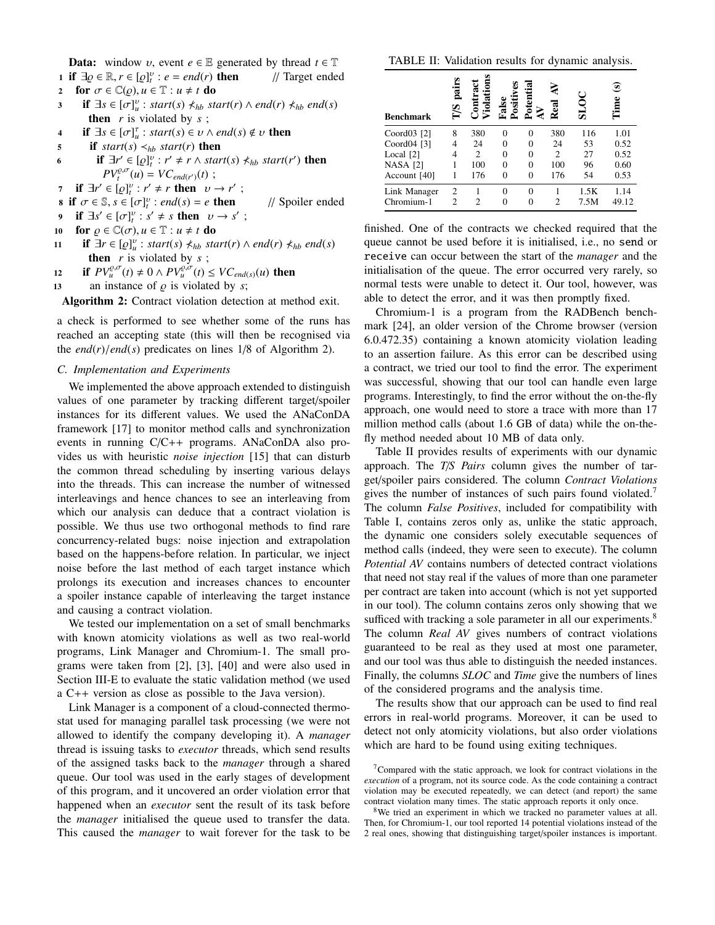**Data:** window *v*, event  $e \in \mathbb{E}$  generated by thread  $t \in \mathbb{T}$ <br>if  $\exists \rho \in \mathbb{R}, r \in [\rho]^{\nu}$ :  $e = end(r)$  then // Target ended **1** if  $\exists \varrho \in \mathbb{R}, r \in [\varrho]_t^v : e = end(r)$  then *//* Target ended

**2** for  $\sigma \in \mathbb{C}(\rho), u \in \mathbb{T} : u \neq t$  do<br>3 if  $\exists s \in [\sigma]^v : start(s) \nless_h st$ 

- **if**  $\exists s \in [\sigma]_u^v$ : *start*(*s*)  $\nless_h b \text{ start}(r) \land end(r) \nless_h b \text{ end}(s)$ <br>**then** *r* is violated by *s* · then *r* is violated by *s* ;
- **if**  $\exists s \in [\sigma]_u^{\tau}$  :  $start(s) \in \nu \wedge end(s) \notin \nu$  then<br>**if** start(s)  $\lt_{\nu}$  start(x) then
- 5 if  $start(s) \prec_{hb} start(r)$  then
- 6 if  $\exists r' \in [Q]_t^V : r' \neq r \wedge start(s) \nmid k_b \text{ start}(r')$  then<br>  $PV^{Q,\mathcal{F}}(u) VC_{\mathcal{F}}(u)$  (*x*)  $PV_t^{\varrho,\sigma}(u) = VC_{end(r')}(t)$ ;
- 7 if  $\exists r' \in [\varrho]_t^v : r' \neq r$  then  $v \to r'$ ;<br>8 if  $\sigma \in \mathbb{S}$ ,  $s \in [\sigma]_t^v : end(s) = e$  then
- **8** if  $\sigma \in \mathbb{S}$ ,  $s \in [\sigma]_t^v : end(s) = e$  then // Spoiler ended<br>**9** if  $\exists s' \in [\sigma]_t^v : s' \neq s$  then  $y \rightarrow s'$ .
- 9 if  $\exists s' \in [\sigma]_t^v : s' \neq s$  then  $v \to s'$ ;<br>0 for  $0 \in \mathbb{C}(\sigma)$ ,  $u \in \mathbb{T} : u \neq t$  do.
- 10 for  $\varrho \in \mathbb{C}(\sigma)$ ,  $u \in \mathbb{T} : u \neq t$  do<br>11 if  $\exists r \in [\varrho]^v : start(s) \nless_h sta$
- **if** ∃*r* ∈  $[Q]_u^v$  : *start*(*s*)  $\nless$ *h<sub>b</sub> start*(*r*) ∧ *end*(*r*)  $\nless$ *h<sub>b</sub> end*(*s*) **then** *r* is violated by *s* · **then**  $r$  is violated by  $s$ ;

12 if 
$$
PV_u^{\varrho,\sigma}(t) \neq 0 \wedge PV_u^{\varrho,\sigma}(t) \le VC_{end(s)}(u)
$$
 then

13 an instance of  $\rho$  is violated by  $s$ ;

Algorithm 2: Contract violation detection at method exit.

a check is performed to see whether some of the runs has reached an accepting state (this will then be recognised via the *end*( $r$ )/*end*( $s$ ) predicates on lines 1/8 of Algorithm 2).

#### *C. Implementation and Experiments*

We implemented the above approach extended to distinguish values of one parameter by tracking different target/spoiler instances for its different values. We used the ANaConDA framework [17] to monitor method calls and synchronization events in running C/C++ programs. ANaConDA also provides us with heuristic *noise injection* [15] that can disturb the common thread scheduling by inserting various delays into the threads. This can increase the number of witnessed interleavings and hence chances to see an interleaving from which our analysis can deduce that a contract violation is possible. We thus use two orthogonal methods to find rare concurrency-related bugs: noise injection and extrapolation based on the happens-before relation. In particular, we inject noise before the last method of each target instance which prolongs its execution and increases chances to encounter a spoiler instance capable of interleaving the target instance and causing a contract violation.

We tested our implementation on a set of small benchmarks with known atomicity violations as well as two real-world programs, Link Manager and Chromium-1. The small programs were taken from [2], [3], [40] and were also used in Section III-E to evaluate the static validation method (we used a C++ version as close as possible to the Java version).

Link Manager is a component of a cloud-connected thermostat used for managing parallel task processing (we were not allowed to identify the company developing it). A *manager* thread is issuing tasks to *executor* threads, which send results of the assigned tasks back to the *manager* through a shared queue. Our tool was used in the early stages of development of this program, and it uncovered an order violation error that happened when an *executor* sent the result of its task before the *manager* initialised the queue used to transfer the data. This caused the *manager* to wait forever for the task to be

TABLE II: Validation results for dynamic analysis.

| <b>Benchmark</b>       | pairs<br>$\overline{1}$ | w<br>₫.        | False<br>osit | ote | ⋧<br>S         | Ě    | $\mathbf{S}$<br>Time |
|------------------------|-------------------------|----------------|---------------|-----|----------------|------|----------------------|
| Coord03 <sup>[2]</sup> | 8                       | 380            | 0             | 0   | 380            | 116  | 1.01                 |
| Coord04 [3]            | 4                       | 24             | 0             | 0   | 24             | 53   | 0.52                 |
| Local [2]              | 4                       | $\overline{c}$ | $\theta$      | 0   | $\overline{c}$ | 27   | 0.52                 |
| $NASA$ [2]             |                         | 100            | $\theta$      | 0   | 100            | 96   | 0.60                 |
| Account [40]           |                         | 176            | 0             | 0   | 176            | 54   | 0.53                 |
| Link Manager           | 2                       |                | 0             | 0   |                | 1.5K | 1.14                 |
| Chromium-1             | 2                       | 2              | 0             | 0   | 2              | 7.5M | 49.12                |

finished. One of the contracts we checked required that the queue cannot be used before it is initialised, i.e., no send or receive can occur between the start of the *manager* and the initialisation of the queue. The error occurred very rarely, so normal tests were unable to detect it. Our tool, however, was able to detect the error, and it was then promptly fixed.

Chromium-1 is a program from the RADBench benchmark [24], an older version of the Chrome browser (version 6.0.472.35) containing a known atomicity violation leading to an assertion failure. As this error can be described using a contract, we tried our tool to find the error. The experiment was successful, showing that our tool can handle even large programs. Interestingly, to find the error without the on-the-fly approach, one would need to store a trace with more than 17 million method calls (about 1.6 GB of data) while the on-thefly method needed about 10 MB of data only.

Table II provides results of experiments with our dynamic approach. The *T*/*S Pairs* column gives the number of target/spoiler pairs considered. The column *Contract Violations* gives the number of instances of such pairs found violated.<sup>7</sup> The column *False Positives*, included for compatibility with Table I, contains zeros only as, unlike the static approach, the dynamic one considers solely executable sequences of method calls (indeed, they were seen to execute). The column *Potential AV* contains numbers of detected contract violations that need not stay real if the values of more than one parameter per contract are taken into account (which is not yet supported in our tool). The column contains zeros only showing that we sufficed with tracking a sole parameter in all our experiments.<sup>8</sup> The column *Real AV* gives numbers of contract violations guaranteed to be real as they used at most one parameter, and our tool was thus able to distinguish the needed instances. Finally, the columns *SLOC* and *Time* give the numbers of lines of the considered programs and the analysis time.

The results show that our approach can be used to find real errors in real-world programs. Moreover, it can be used to detect not only atomicity violations, but also order violations which are hard to be found using exiting techniques.

<sup>7</sup>Compared with the static approach, we look for contract violations in the *execution* of a program, not its source code. As the code containing a contract violation may be executed repeatedly, we can detect (and report) the same contract violation many times. The static approach reports it only once.

<sup>8</sup>We tried an experiment in which we tracked no parameter values at all. Then, for Chromium-1, our tool reported 14 potential violations instead of the 2 real ones, showing that distinguishing target/spoiler instances is important.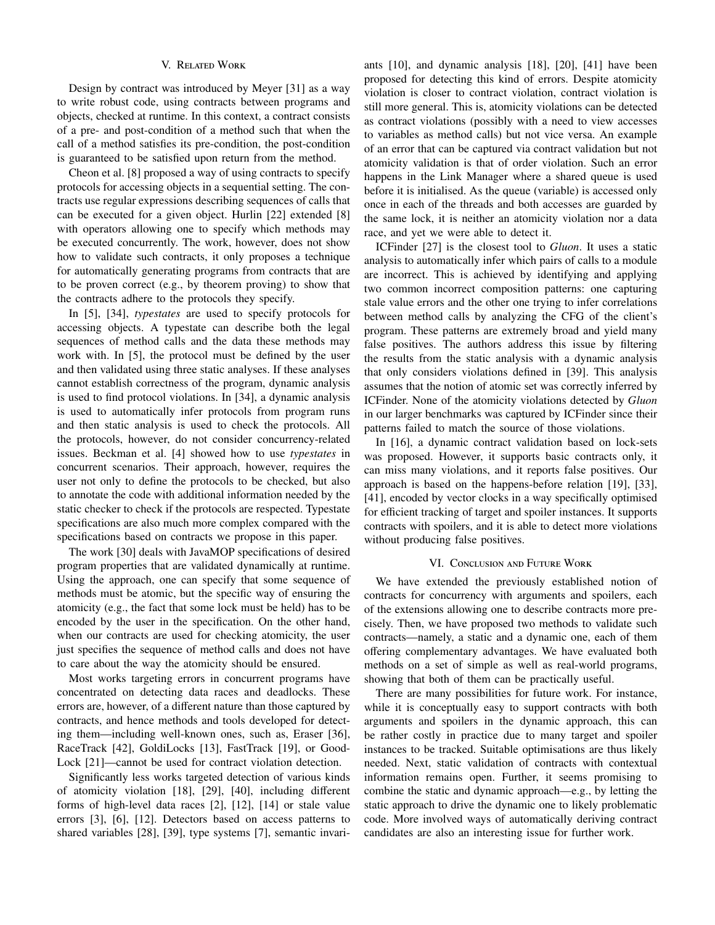## V. Related Work

Design by contract was introduced by Meyer [31] as a way to write robust code, using contracts between programs and objects, checked at runtime. In this context, a contract consists of a pre- and post-condition of a method such that when the call of a method satisfies its pre-condition, the post-condition is guaranteed to be satisfied upon return from the method.

Cheon et al. [8] proposed a way of using contracts to specify protocols for accessing objects in a sequential setting. The contracts use regular expressions describing sequences of calls that can be executed for a given object. Hurlin [22] extended [8] with operators allowing one to specify which methods may be executed concurrently. The work, however, does not show how to validate such contracts, it only proposes a technique for automatically generating programs from contracts that are to be proven correct (e.g., by theorem proving) to show that the contracts adhere to the protocols they specify.

In [5], [34], *typestates* are used to specify protocols for accessing objects. A typestate can describe both the legal sequences of method calls and the data these methods may work with. In [5], the protocol must be defined by the user and then validated using three static analyses. If these analyses cannot establish correctness of the program, dynamic analysis is used to find protocol violations. In [34], a dynamic analysis is used to automatically infer protocols from program runs and then static analysis is used to check the protocols. All the protocols, however, do not consider concurrency-related issues. Beckman et al. [4] showed how to use *typestates* in concurrent scenarios. Their approach, however, requires the user not only to define the protocols to be checked, but also to annotate the code with additional information needed by the static checker to check if the protocols are respected. Typestate specifications are also much more complex compared with the specifications based on contracts we propose in this paper.

The work [30] deals with JavaMOP specifications of desired program properties that are validated dynamically at runtime. Using the approach, one can specify that some sequence of methods must be atomic, but the specific way of ensuring the atomicity (e.g., the fact that some lock must be held) has to be encoded by the user in the specification. On the other hand, when our contracts are used for checking atomicity, the user just specifies the sequence of method calls and does not have to care about the way the atomicity should be ensured.

Most works targeting errors in concurrent programs have concentrated on detecting data races and deadlocks. These errors are, however, of a different nature than those captured by contracts, and hence methods and tools developed for detecting them—including well-known ones, such as, Eraser [36], RaceTrack [42], GoldiLocks [13], FastTrack [19], or Good-Lock [21]—cannot be used for contract violation detection.

Significantly less works targeted detection of various kinds of atomicity violation [18], [29], [40], including different forms of high-level data races [2], [12], [14] or stale value errors [3], [6], [12]. Detectors based on access patterns to shared variables [28], [39], type systems [7], semantic invariants [10], and dynamic analysis [18], [20], [41] have been proposed for detecting this kind of errors. Despite atomicity violation is closer to contract violation, contract violation is still more general. This is, atomicity violations can be detected as contract violations (possibly with a need to view accesses to variables as method calls) but not vice versa. An example of an error that can be captured via contract validation but not atomicity validation is that of order violation. Such an error happens in the Link Manager where a shared queue is used before it is initialised. As the queue (variable) is accessed only once in each of the threads and both accesses are guarded by the same lock, it is neither an atomicity violation nor a data race, and yet we were able to detect it.

ICFinder [27] is the closest tool to *Gluon*. It uses a static analysis to automatically infer which pairs of calls to a module are incorrect. This is achieved by identifying and applying two common incorrect composition patterns: one capturing stale value errors and the other one trying to infer correlations between method calls by analyzing the CFG of the client's program. These patterns are extremely broad and yield many false positives. The authors address this issue by filtering the results from the static analysis with a dynamic analysis that only considers violations defined in [39]. This analysis assumes that the notion of atomic set was correctly inferred by ICFinder. None of the atomicity violations detected by *Gluon* in our larger benchmarks was captured by ICFinder since their patterns failed to match the source of those violations.

In [16], a dynamic contract validation based on lock-sets was proposed. However, it supports basic contracts only, it can miss many violations, and it reports false positives. Our approach is based on the happens-before relation [19], [33], [41], encoded by vector clocks in a way specifically optimised for efficient tracking of target and spoiler instances. It supports contracts with spoilers, and it is able to detect more violations without producing false positives.

#### VI. Conclusion and Future Work

We have extended the previously established notion of contracts for concurrency with arguments and spoilers, each of the extensions allowing one to describe contracts more precisely. Then, we have proposed two methods to validate such contracts—namely, a static and a dynamic one, each of them offering complementary advantages. We have evaluated both methods on a set of simple as well as real-world programs, showing that both of them can be practically useful.

There are many possibilities for future work. For instance, while it is conceptually easy to support contracts with both arguments and spoilers in the dynamic approach, this can be rather costly in practice due to many target and spoiler instances to be tracked. Suitable optimisations are thus likely needed. Next, static validation of contracts with contextual information remains open. Further, it seems promising to combine the static and dynamic approach—e.g., by letting the static approach to drive the dynamic one to likely problematic code. More involved ways of automatically deriving contract candidates are also an interesting issue for further work.